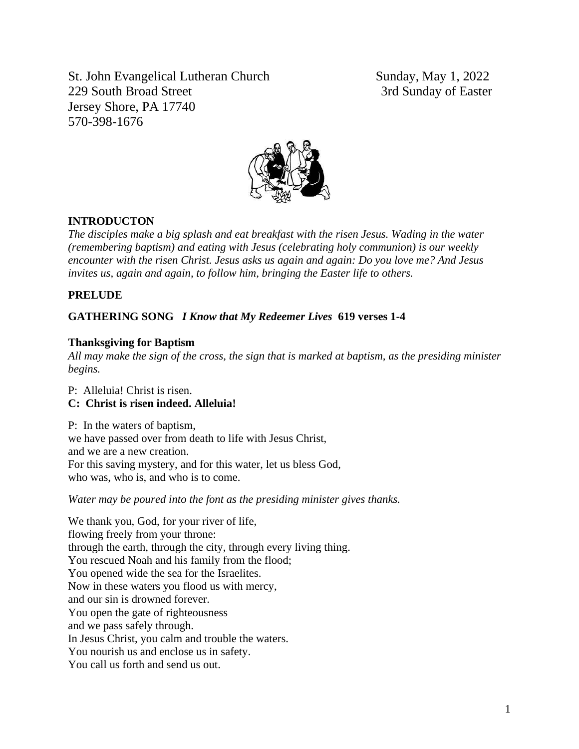St. John Evangelical Lutheran Church Sunday, May 1, 2022 229 South Broad Street 3rd Sunday of Easter Jersey Shore, PA 17740 570-398-1676



# **INTRODUCTON**

*The disciples make a big splash and eat breakfast with the risen Jesus. Wading in the water (remembering baptism) and eating with Jesus (celebrating holy communion) is our weekly encounter with the risen Christ. Jesus asks us again and again: Do you love me? And Jesus invites us, again and again, to follow him, bringing the Easter life to others.*

### **PRELUDE**

### **GATHERING SONG** *I Know that My Redeemer Lives* **619 verses 1-4**

### **Thanksgiving for Baptism**

*All may make the sign of the cross, the sign that is marked at baptism, as the presiding minister begins.*

P: Alleluia! Christ is risen.

# **C: Christ is risen indeed. Alleluia!**

P: In the waters of baptism, we have passed over from death to life with Jesus Christ, and we are a new creation. For this saving mystery, and for this water, let us bless God, who was, who is, and who is to come.

*Water may be poured into the font as the presiding minister gives thanks.*

We thank you, God, for your river of life, flowing freely from your throne: through the earth, through the city, through every living thing. You rescued Noah and his family from the flood; You opened wide the sea for the Israelites. Now in these waters you flood us with mercy, and our sin is drowned forever. You open the gate of righteousness and we pass safely through. In Jesus Christ, you calm and trouble the waters. You nourish us and enclose us in safety. You call us forth and send us out.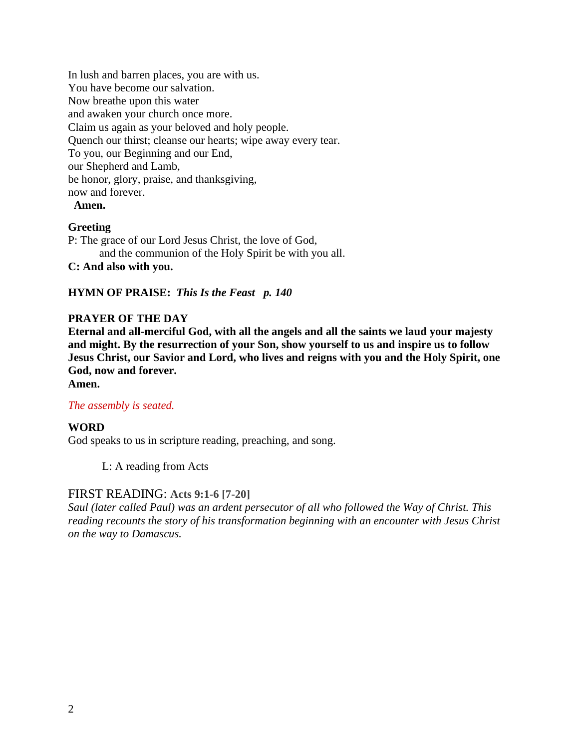In lush and barren places, you are with us. You have become our salvation. Now breathe upon this water and awaken your church once more. Claim us again as your beloved and holy people. Quench our thirst; cleanse our hearts; wipe away every tear. To you, our Beginning and our End, our Shepherd and Lamb, be honor, glory, praise, and thanksgiving, now and forever.

### **Amen.**

### **Greeting**

P: The grace of our Lord Jesus Christ, the love of God, and the communion of the Holy Spirit be with you all.

**C: And also with you.**

**HYMN OF PRAISE:** *This Is the Feast p. 140*

### **PRAYER OF THE DAY**

**Eternal and all-merciful God, with all the angels and all the saints we laud your majesty and might. By the resurrection of your Son, show yourself to us and inspire us to follow Jesus Christ, our Savior and Lord, who lives and reigns with you and the Holy Spirit, one God, now and forever.**

**Amen.**

#### *The assembly is seated.*

### **WORD**

God speaks to us in scripture reading, preaching, and song.

L: A reading from Acts

### FIRST READING: **Acts 9:1-6 [7-20]**

*Saul (later called Paul) was an ardent persecutor of all who followed the Way of Christ. This reading recounts the story of his transformation beginning with an encounter with Jesus Christ on the way to Damascus.*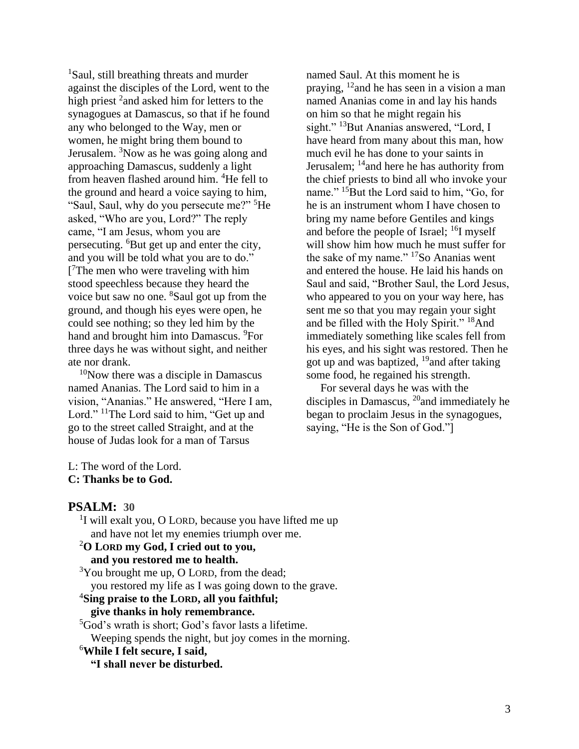<sup>1</sup>Saul, still breathing threats and murder against the disciples of the Lord, went to the high priest <sup>2</sup> and asked him for letters to the synagogues at Damascus, so that if he found any who belonged to the Way, men or women, he might bring them bound to Jerusalem.  $3$ Now as he was going along and approaching Damascus, suddenly a light from heaven flashed around him. <sup>4</sup>He fell to the ground and heard a voice saying to him, "Saul, Saul, why do you persecute me?" <sup>5</sup>He asked, "Who are you, Lord?" The reply came, "I am Jesus, whom you are persecuting. <sup>6</sup>But get up and enter the city, and you will be told what you are to do." [ <sup>7</sup>The men who were traveling with him stood speechless because they heard the voice but saw no one. <sup>8</sup>Saul got up from the ground, and though his eyes were open, he could see nothing; so they led him by the hand and brought him into Damascus. <sup>9</sup>For three days he was without sight, and neither ate nor drank.

 $10$ Now there was a disciple in Damascus named Ananias. The Lord said to him in a vision, "Ananias." He answered, "Here I am, Lord." <sup>11</sup>The Lord said to him, "Get up and go to the street called Straight, and at the house of Judas look for a man of Tarsus

named Saul. At this moment he is praying,  $^{12}$  and he has seen in a vision a man named Ananias come in and lay his hands on him so that he might regain his sight." <sup>13</sup>But Ananias answered, "Lord, I have heard from many about this man, how much evil he has done to your saints in Jerusalem; <sup>14</sup> and here he has authority from the chief priests to bind all who invoke your name." <sup>15</sup>But the Lord said to him, "Go, for he is an instrument whom I have chosen to bring my name before Gentiles and kings and before the people of Israel;  $^{16}$ I myself will show him how much he must suffer for the sake of my name." <sup>17</sup>So Ananias went and entered the house. He laid his hands on Saul and said, "Brother Saul, the Lord Jesus, who appeared to you on your way here, has sent me so that you may regain your sight and be filled with the Holy Spirit." <sup>18</sup>And immediately something like scales fell from his eyes, and his sight was restored. Then he got up and was baptized,  $^{19}$  and after taking some food, he regained his strength.

For several days he was with the disciples in Damascus,  $^{20}$  and immediately he began to proclaim Jesus in the synagogues, saying, "He is the Son of God."]

L: The word of the Lord. **C: Thanks be to God.**

### **PSALM: 30**

<sup>1</sup>I will exalt you, O LORD, because you have lifted me up and have not let my enemies triumph over me.

# <sup>2</sup>**O LORD my God, I cried out to you,**

# **and you restored me to health.**

 $3$ You brought me up, O LORD, from the dead; you restored my life as I was going down to the grave.

### <sup>4</sup>**Sing praise to the LORD, all you faithful;**

### **give thanks in holy remembrance.**

<sup>5</sup>God's wrath is short; God's favor lasts a lifetime.

Weeping spends the night, but joy comes in the morning.

### <sup>6</sup>**While I felt secure, I said,**

**"I shall never be disturbed.**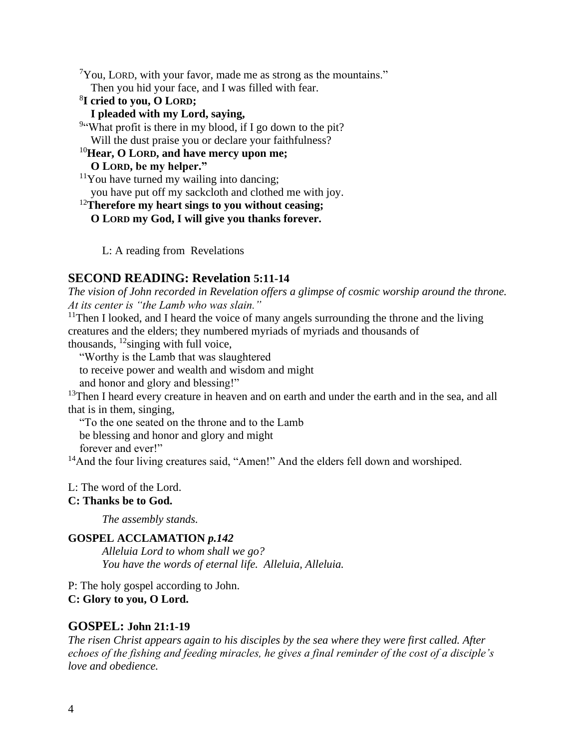$7$ You, LORD, with your favor, made me as strong as the mountains." Then you hid your face, and I was filled with fear.

# 8 **I cried to you, O LORD;**

# **I pleaded with my Lord, saying,**

<sup>9</sup>"What profit is there in my blood, if I go down to the pit? Will the dust praise you or declare your faithfulness?

### <sup>10</sup>**Hear, O LORD, and have mercy upon me;**

### **O LORD, be my helper."**

 $11$ You have turned my wailing into dancing;

you have put off my sackcloth and clothed me with joy.

# <sup>12</sup>**Therefore my heart sings to you without ceasing;**

**O LORD my God, I will give you thanks forever.**

L: A reading from Revelations

# **SECOND READING: Revelation 5:11-14**

*The vision of John recorded in Revelation offers a glimpse of cosmic worship around the throne. At its center is "the Lamb who was slain."*

<sup>11</sup>Then I looked, and I heard the voice of many angels surrounding the throne and the living creatures and the elders; they numbered myriads of myriads and thousands of thousands,  $^{12}$ singing with full voice,

"Worthy is the Lamb that was slaughtered

to receive power and wealth and wisdom and might

and honor and glory and blessing!"

<sup>13</sup>Then I heard every creature in heaven and on earth and under the earth and in the sea, and all that is in them, singing,

"To the one seated on the throne and to the Lamb

be blessing and honor and glory and might

forever and ever!"

<sup>14</sup>And the four living creatures said, "Amen!" And the elders fell down and worshiped.

### L: The word of the Lord.

### **C: Thanks be to God.**

*The assembly stands.* 

# **GOSPEL ACCLAMATION** *p.142*

*Alleluia Lord to whom shall we go? You have the words of eternal life. Alleluia, Alleluia.*

P: The holy gospel according to John. **C: Glory to you, O Lord.**

# **GOSPEL: John 21:1-19**

*The risen Christ appears again to his disciples by the sea where they were first called. After echoes of the fishing and feeding miracles, he gives a final reminder of the cost of a disciple's love and obedience.*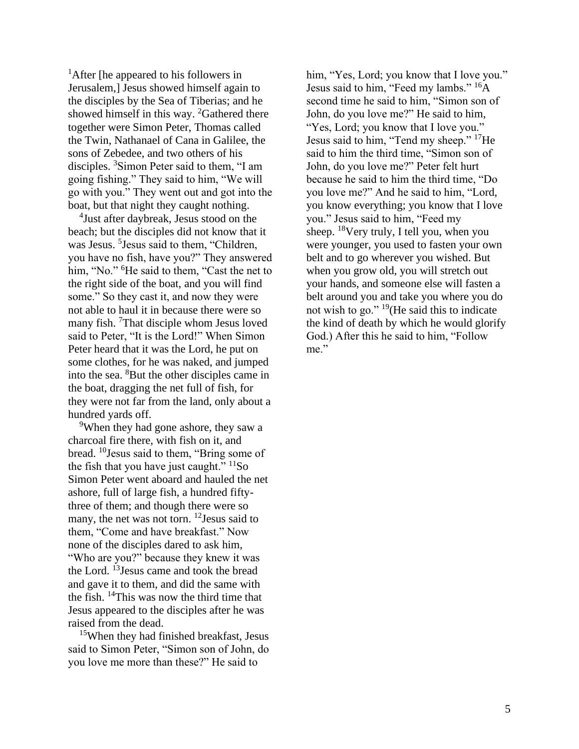<sup>1</sup>After [he appeared to his followers in Jerusalem,] Jesus showed himself again to the disciples by the Sea of Tiberias; and he showed himself in this way. <sup>2</sup>Gathered there together were Simon Peter, Thomas called the Twin, Nathanael of Cana in Galilee, the sons of Zebedee, and two others of his disciples. <sup>3</sup>Simon Peter said to them, "I am going fishing." They said to him, "We will go with you." They went out and got into the boat, but that night they caught nothing.

4 Just after daybreak, Jesus stood on the beach; but the disciples did not know that it was Jesus. <sup>5</sup> Jesus said to them, "Children, you have no fish, have you?" They answered him, "No." <sup>6</sup>He said to them, "Cast the net to the right side of the boat, and you will find some." So they cast it, and now they were not able to haul it in because there were so many fish. <sup>7</sup>That disciple whom Jesus loved said to Peter, "It is the Lord!" When Simon Peter heard that it was the Lord, he put on some clothes, for he was naked, and jumped into the sea. <sup>8</sup>But the other disciples came in the boat, dragging the net full of fish, for they were not far from the land, only about a hundred yards off.

<sup>9</sup>When they had gone ashore, they saw a charcoal fire there, with fish on it, and bread. <sup>10</sup>Jesus said to them, "Bring some of the fish that you have just caught."  $\frac{11}{50}$ Simon Peter went aboard and hauled the net ashore, full of large fish, a hundred fiftythree of them; and though there were so many, the net was not torn. <sup>12</sup>Jesus said to them, "Come and have breakfast." Now none of the disciples dared to ask him, "Who are you?" because they knew it was the Lord. <sup>13</sup> Jesus came and took the bread and gave it to them, and did the same with the fish. <sup>14</sup>This was now the third time that Jesus appeared to the disciples after he was raised from the dead.

<sup>15</sup>When they had finished breakfast, Jesus said to Simon Peter, "Simon son of John, do you love me more than these?" He said to

him, "Yes, Lord; you know that I love you." Jesus said to him, "Feed my lambs." <sup>16</sup>A second time he said to him, "Simon son of John, do you love me?" He said to him, "Yes, Lord; you know that I love you." Jesus said to him, "Tend my sheep." <sup>17</sup>He said to him the third time, "Simon son of John, do you love me?" Peter felt hurt because he said to him the third time, "Do you love me?" And he said to him, "Lord, you know everything; you know that I love you." Jesus said to him, "Feed my sheep.  $18$ Very truly, I tell you, when you were younger, you used to fasten your own belt and to go wherever you wished. But when you grow old, you will stretch out your hands, and someone else will fasten a belt around you and take you where you do not wish to go." <sup>19</sup>(He said this to indicate the kind of death by which he would glorify God.) After this he said to him, "Follow me."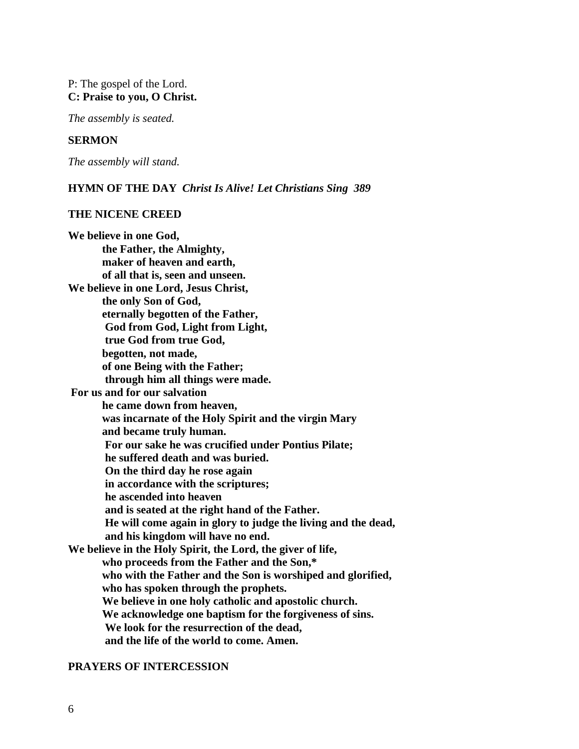### P: The gospel of the Lord. **C: Praise to you, O Christ.**

*The assembly is seated.* 

### **SERMON**

*The assembly will stand.*

#### **HYMN OF THE DAY** *Christ Is Alive! Let Christians Sing 389*

#### **THE NICENE CREED**

**We believe in one God, the Father, the Almighty, maker of heaven and earth, of all that is, seen and unseen. We believe in one Lord, Jesus Christ, the only Son of God, eternally begotten of the Father, God from God, Light from Light, true God from true God, begotten, not made, of one Being with the Father; through him all things were made. For us and for our salvation he came down from heaven, was incarnate of the Holy Spirit and the virgin Mary and became truly human. For our sake he was crucified under Pontius Pilate; he suffered death and was buried. On the third day he rose again in accordance with the scriptures; he ascended into heaven and is seated at the right hand of the Father. He will come again in glory to judge the living and the dead, and his kingdom will have no end. We believe in the Holy Spirit, the Lord, the giver of life, who proceeds from the Father and the Son,\* who with the Father and the Son is worshiped and glorified, who has spoken through the prophets. We believe in one holy catholic and apostolic church. We acknowledge one baptism for the forgiveness of sins. We look for the resurrection of the dead, and the life of the world to come. Amen.** 

#### **PRAYERS OF INTERCESSION**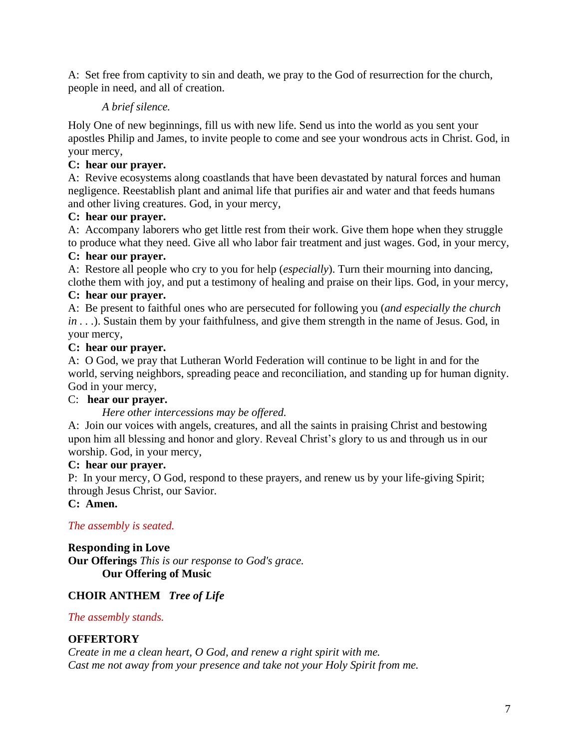A: Set free from captivity to sin and death, we pray to the God of resurrection for the church, people in need, and all of creation.

# *A brief silence.*

Holy One of new beginnings, fill us with new life. Send us into the world as you sent your apostles Philip and James, to invite people to come and see your wondrous acts in Christ. God, in your mercy,

# **C: hear our prayer.**

A: Revive ecosystems along coastlands that have been devastated by natural forces and human negligence. Reestablish plant and animal life that purifies air and water and that feeds humans and other living creatures. God, in your mercy,

# **C: hear our prayer.**

A: Accompany laborers who get little rest from their work. Give them hope when they struggle to produce what they need. Give all who labor fair treatment and just wages. God, in your mercy,

# **C: hear our prayer.**

A: Restore all people who cry to you for help (*especially*). Turn their mourning into dancing, clothe them with joy, and put a testimony of healing and praise on their lips. God, in your mercy,

# **C: hear our prayer.**

A: Be present to faithful ones who are persecuted for following you (*and especially the church in . . .*). Sustain them by your faithfulness, and give them strength in the name of Jesus. God, in your mercy,

# **C: hear our prayer.**

A: O God, we pray that Lutheran World Federation will continue to be light in and for the world, serving neighbors, spreading peace and reconciliation, and standing up for human dignity. God in your mercy,

# C: **hear our prayer.**

# *Here other intercessions may be offered.*

A: Join our voices with angels, creatures, and all the saints in praising Christ and bestowing upon him all blessing and honor and glory. Reveal Christ's glory to us and through us in our worship. God, in your mercy,

# **C: hear our prayer.**

P: In your mercy, O God, respond to these prayers, and renew us by your life-giving Spirit; through Jesus Christ, our Savior.

# **C: Amen.**

# *The assembly is seated.*

**Responding in Love Our Offerings** *This is our response to God's grace.* **Our Offering of Music** 

# **CHOIR ANTHEM** *Tree of Life*

# *The assembly stands.*

# **OFFERTORY**

*Create in me a clean heart, O God, and renew a right spirit with me. Cast me not away from your presence and take not your Holy Spirit from me.*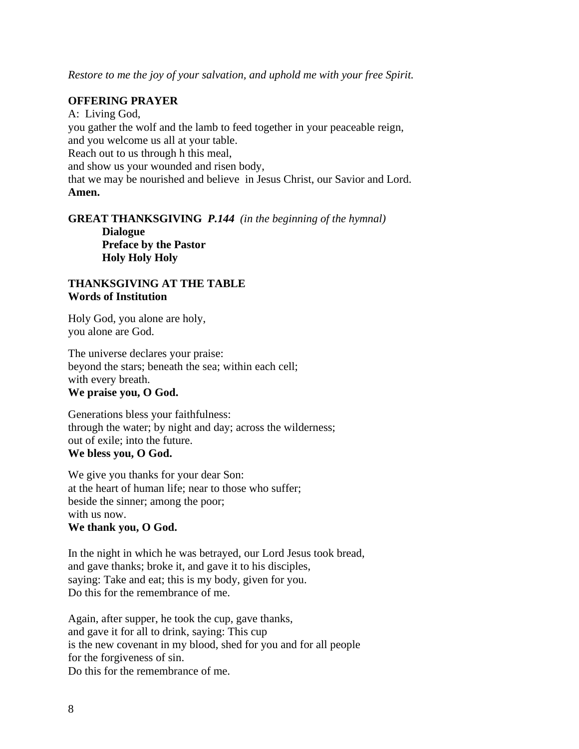*Restore to me the joy of your salvation, and uphold me with your free Spirit.*

### **OFFERING PRAYER**

A: Living God, you gather the wolf and the lamb to feed together in your peaceable reign, and you welcome us all at your table. Reach out to us through h this meal, and show us your wounded and risen body, that we may be nourished and believe in Jesus Christ, our Savior and Lord. **Amen.**

**GREAT THANKSGIVING** *P.144 (in the beginning of the hymnal)* **Dialogue Preface by the Pastor Holy Holy Holy**

### **THANKSGIVING AT THE TABLE Words of Institution**

Holy God, you alone are holy, you alone are God.

The universe declares your praise: beyond the stars; beneath the sea; within each cell; with every breath. **We praise you, O God.**

Generations bless your faithfulness: through the water; by night and day; across the wilderness; out of exile; into the future. **We bless you, O God.**

We give you thanks for your dear Son: at the heart of human life; near to those who suffer; beside the sinner; among the poor; with us now. **We thank you, O God.**

In the night in which he was betrayed, our Lord Jesus took bread, and gave thanks; broke it, and gave it to his disciples, saying: Take and eat; this is my body, given for you. Do this for the remembrance of me.

Again, after supper, he took the cup, gave thanks, and gave it for all to drink, saying: This cup is the new covenant in my blood, shed for you and for all people for the forgiveness of sin. Do this for the remembrance of me.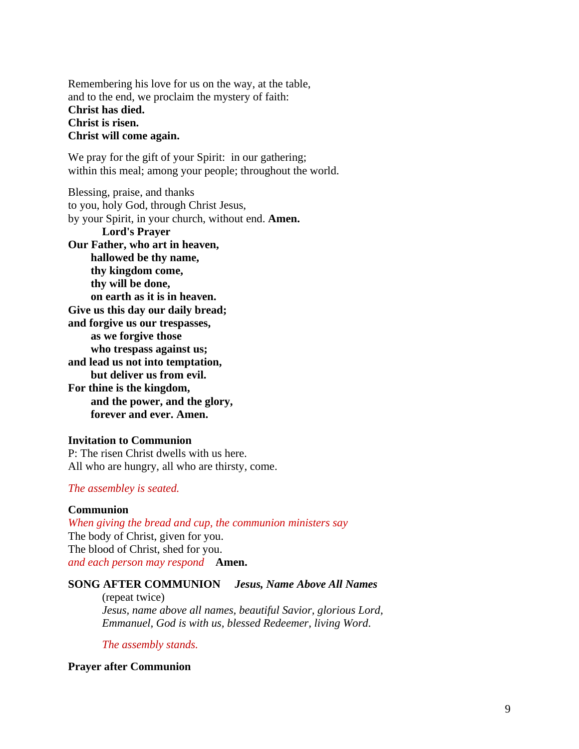Remembering his love for us on the way, at the table, and to the end, we proclaim the mystery of faith: **Christ has died. Christ is risen. Christ will come again.**

We pray for the gift of your Spirit: in our gathering; within this meal; among your people; throughout the world.

Blessing, praise, and thanks to you, holy God, through Christ Jesus, by your Spirit, in your church, without end. **Amen. Lord's Prayer Our Father, who art in heaven, hallowed be thy name, thy kingdom come, thy will be done, on earth as it is in heaven. Give us this day our daily bread; and forgive us our trespasses, as we forgive those who trespass against us; and lead us not into temptation, but deliver us from evil. For thine is the kingdom, and the power, and the glory, forever and ever. Amen.**

#### **Invitation to Communion**

P: The risen Christ dwells with us here. All who are hungry, all who are thirsty, come.

### *The assembley is seated.*

#### **Communion**

*When giving the bread and cup, the communion ministers say* The body of Christ, given for you. The blood of Christ, shed for you. *and each person may respond* **Amen.**

### **SONG AFTER COMMUNION** *Jesus, Name Above All Names*

(repeat twice) *Jesus, name above all names, beautiful Savior, glorious Lord, Emmanuel, God is with us, blessed Redeemer, living Word.*

*The assembly stands.*

**Prayer after Communion**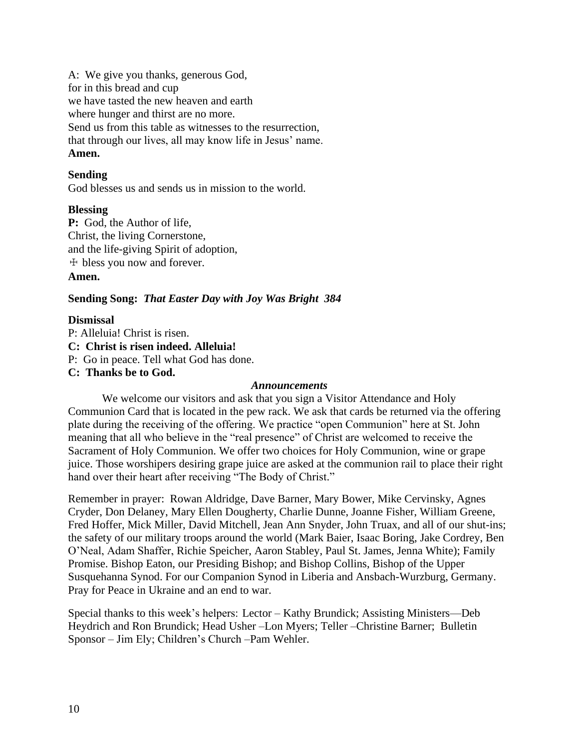A: We give you thanks, generous God, for in this bread and cup we have tasted the new heaven and earth where hunger and thirst are no more. Send us from this table as witnesses to the resurrection, that through our lives, all may know life in Jesus' name. **Amen.**

### **Sending**

God blesses us and sends us in mission to the world.

### **Blessing**

**P:** God, the Author of life, Christ, the living Cornerstone, and the life-giving Spirit of adoption, ☩ bless you now and forever. **Amen.**

### **Sending Song:** *That Easter Day with Joy Was Bright 384*

### **Dismissal**

P: Alleluia! Christ is risen. **C: Christ is risen indeed. Alleluia!** P: Go in peace. Tell what God has done. **C: Thanks be to God.**

#### *Announcements*

We welcome our visitors and ask that you sign a Visitor Attendance and Holy Communion Card that is located in the pew rack. We ask that cards be returned via the offering plate during the receiving of the offering. We practice "open Communion" here at St. John meaning that all who believe in the "real presence" of Christ are welcomed to receive the Sacrament of Holy Communion. We offer two choices for Holy Communion, wine or grape juice. Those worshipers desiring grape juice are asked at the communion rail to place their right hand over their heart after receiving "The Body of Christ."

Remember in prayer: Rowan Aldridge, Dave Barner, Mary Bower, Mike Cervinsky, Agnes Cryder, Don Delaney, Mary Ellen Dougherty, Charlie Dunne, Joanne Fisher, William Greene, Fred Hoffer, Mick Miller, David Mitchell, Jean Ann Snyder, John Truax, and all of our shut-ins; the safety of our military troops around the world (Mark Baier, Isaac Boring, Jake Cordrey, Ben O'Neal, Adam Shaffer, Richie Speicher, Aaron Stabley, Paul St. James, Jenna White); Family Promise. Bishop Eaton, our Presiding Bishop; and Bishop Collins, Bishop of the Upper Susquehanna Synod. For our Companion Synod in Liberia and Ansbach-Wurzburg, Germany. Pray for Peace in Ukraine and an end to war.

Special thanks to this week's helpers: Lector – Kathy Brundick; Assisting Ministers—Deb Heydrich and Ron Brundick; Head Usher –Lon Myers; Teller –Christine Barner; Bulletin Sponsor – Jim Ely; Children's Church –Pam Wehler.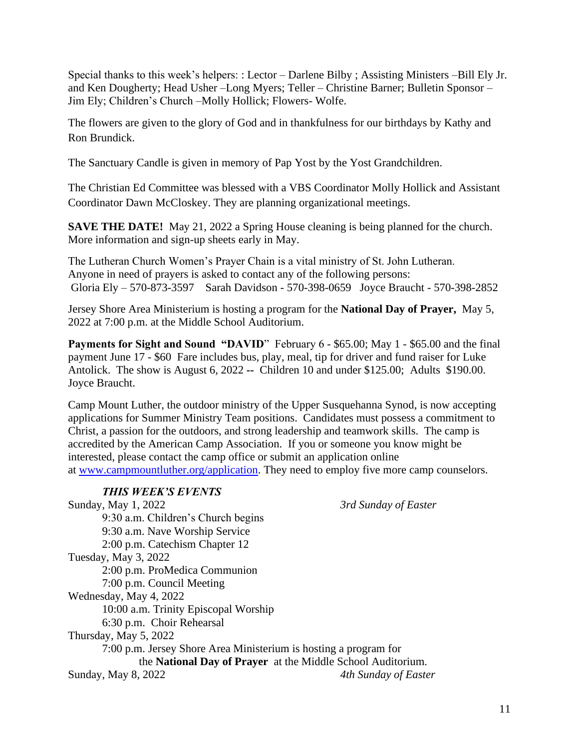Special thanks to this week's helpers: : Lector – Darlene Bilby ; Assisting Ministers –Bill Ely Jr. and Ken Dougherty; Head Usher –Long Myers; Teller – Christine Barner; Bulletin Sponsor – Jim Ely; Children's Church –Molly Hollick; Flowers- Wolfe.

The flowers are given to the glory of God and in thankfulness for our birthdays by Kathy and Ron Brundick.

The Sanctuary Candle is given in memory of Pap Yost by the Yost Grandchildren.

The Christian Ed Committee was blessed with a VBS Coordinator Molly Hollick and Assistant Coordinator Dawn McCloskey. They are planning organizational meetings.

**SAVE THE DATE!** May 21, 2022 a Spring House cleaning is being planned for the church. More information and sign-up sheets early in May.

The Lutheran Church Women's Prayer Chain is a vital ministry of St. John Lutheran. Anyone in need of prayers is asked to contact any of the following persons: Gloria Ely – 570-873-3597 Sarah Davidson - 570-398-0659 Joyce Braucht - 570-398-2852

Jersey Shore Area Ministerium is hosting a program for the **National Day of Prayer,** May 5, 2022 at 7:00 p.m. at the Middle School Auditorium.

**Payments for Sight and Sound "DAVID"** February 6 - \$65.00; May 1 - \$65.00 and the final payment June 17 - \$60 Fare includes bus, play, meal, tip for driver and fund raiser for Luke Antolick. The show is August 6, 2022 **--** Children 10 and under \$125.00; Adults \$190.00. Joyce Braucht.

Camp Mount Luther, the outdoor ministry of the Upper Susquehanna Synod, is now accepting applications for Summer Ministry Team positions. Candidates must possess a commitment to Christ, a passion for the outdoors, and strong leadership and teamwork skills. The camp is accredited by the American Camp Association. If you or someone you know might be interested, please contact the camp office or submit an application online at [www.campmountluther.org/application.](about:blank) They need to employ five more camp counselors.

| <b>THIS WEEK'S EVENTS</b>                                        |                      |
|------------------------------------------------------------------|----------------------|
| Sunday, May 1, 2022                                              | 3rd Sunday of Easter |
| 9:30 a.m. Children's Church begins                               |                      |
| 9:30 a.m. Nave Worship Service                                   |                      |
| 2:00 p.m. Catechism Chapter 12                                   |                      |
| Tuesday, May 3, 2022                                             |                      |
| 2:00 p.m. ProMedica Communion                                    |                      |
| 7:00 p.m. Council Meeting                                        |                      |
| Wednesday, May 4, 2022                                           |                      |
| 10:00 a.m. Trinity Episcopal Worship                             |                      |
| 6:30 p.m. Choir Rehearsal                                        |                      |
| Thursday, May 5, 2022                                            |                      |
| 7:00 p.m. Jersey Shore Area Ministerium is hosting a program for |                      |
| the National Day of Prayer at the Middle School Auditorium.      |                      |
| Sunday, May 8, 2022                                              | 4th Sunday of Easter |